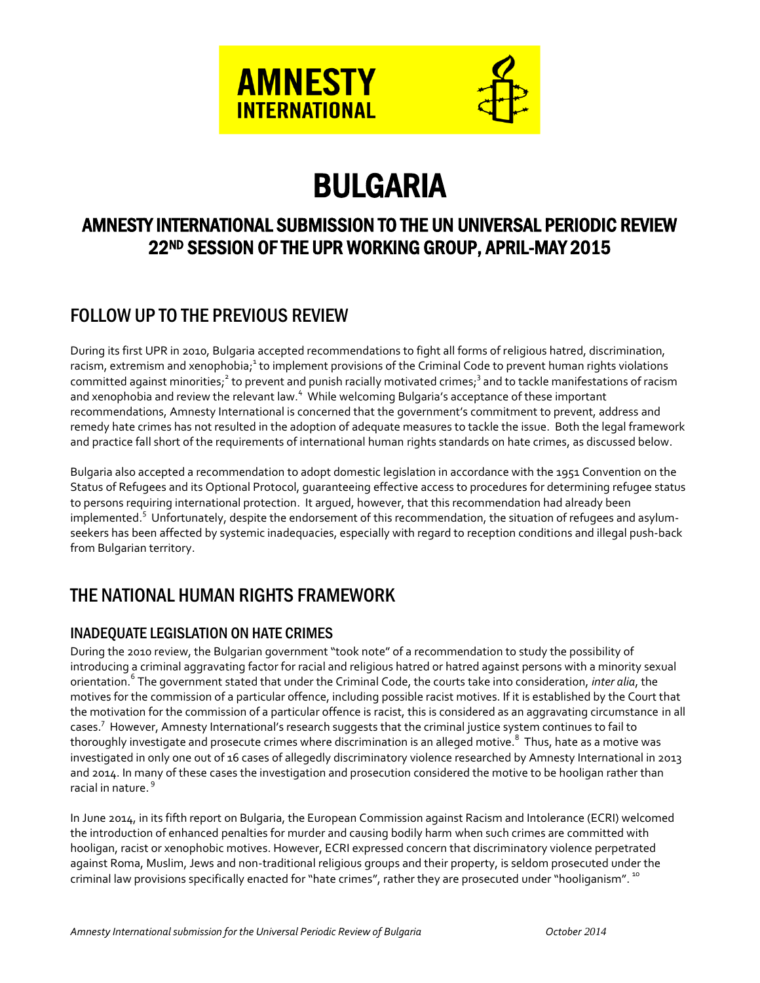

# BULGARIA

# AMNESTY INTERNATIONAL SUBMISSION TO THE UN UNIVERSAL PERIODIC REVIEW 22ND SESSION OF THE UPR WORKING GROUP, APRIL-MAY 2015

# FOLLOW UP TO THE PREVIOUS REVIEW

During its first UPR in 2010, Bulgaria accepted recommendations to fight all forms of religious hatred, discrimination, racism, extremism and xenophobia;<sup>1</sup> to implement provisions of the Criminal Code to prevent human rights violations committed against minorities;<sup>2</sup> to prevent and punish racially motivated crimes;<sup>3</sup> and to tackle manifestations of racism and xenophobia and review the relevant law. <sup>4</sup> While welcoming Bulgaria's acceptance of these important recommendations, Amnesty International is concerned that the government's commitment to prevent, address and remedy hate crimes has not resulted in the adoption of adequate measures to tackle the issue. Both the legal framework and practice fall short of the requirements of international human rights standards on hate crimes, as discussed below.

Bulgaria also accepted a recommendation to adopt domestic legislation in accordance with the 1951 Convention on the Status of Refugees and its Optional Protocol, guaranteeing effective access to procedures for determining refugee status to persons requiring international protection. It argued, however, that this recommendation had already been implemented.<sup>5</sup> Unfortunately, despite the endorsement of this recommendation, the situation of refugees and asylumseekers has been affected by systemic inadequacies, especially with regard to reception conditions and illegal push-back from Bulgarian territory.

# THE NATIONAL HUMAN RIGHTS FRAMEWORK

# INADEQUATE LEGISLATION ON HATE CRIMES

During the 2010 review, the Bulgarian government "took note" of a recommendation to study the possibility of introducing a criminal aggravating factor for racial and religious hatred or hatred against persons with a minority sexual orientation. 6 The government stated that under the Criminal Code, the courts take into consideration, *inter alia*, the motives for the commission of a particular offence, including possible racist motives. If it is established by the Court that the motivation for the commission of a particular offence is racist, this is considered as an aggravating circumstance in all cases. 7 However, Amnesty International's research suggests that the criminal justice system continues to fail to thoroughly investigate and prosecute crimes where discrimination is an alleged motive.<sup>8</sup> Thus, hate as a motive was investigated in only one out of 16 cases of allegedly discriminatory violence researched by Amnesty International in 2013 and 2014. In many of these cases the investigation and prosecution considered the motive to be hooligan rather than racial in nature. 9

In June 2014, in its fifth report on Bulgaria, the European Commission against Racism and Intolerance (ECRI) welcomed the introduction of enhanced penalties for murder and causing bodily harm when such crimes are committed with hooligan, racist or xenophobic motives. However, ECRI expressed concern that discriminatory violence perpetrated against Roma, Muslim, Jews and non-traditional religious groups and their property, is seldom prosecuted under the criminal law provisions specifically enacted for "hate crimes", rather they are prosecuted under "hooliganism". <sup>10</sup>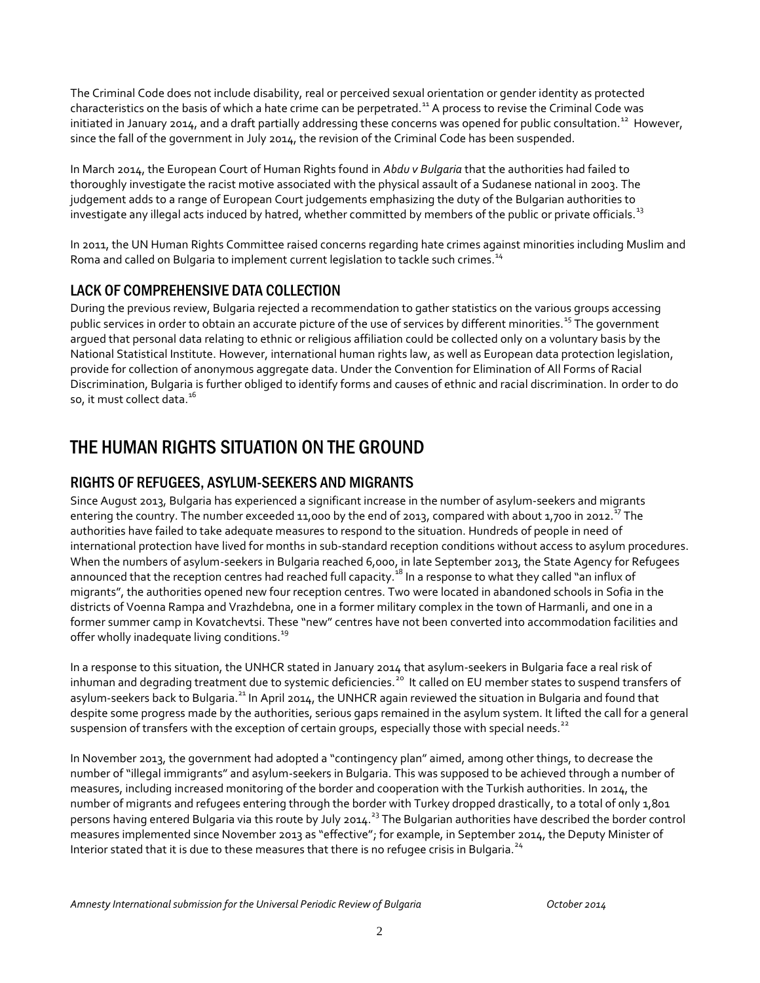The Criminal Code does not include disability, real or perceived sexual orientation or gender identity as protected characteristics on the basis of which a hate crime can be perpetrated.<sup>11</sup> A process to revise the Criminal Code was initiated in January 2014, and a draft partially addressing these concerns was opened for public consultation.<sup>12</sup> However, since the fall of the government in July 2014, the revision of the Criminal Code has been suspended.

In March 2014, the European Court of Human Rights found in *Abdu v Bulgaria* that the authorities had failed to thoroughly investigate the racist motive associated with the physical assault of a Sudanese national in 2003. The judgement adds to a range of European Court judgements emphasizing the duty of the Bulgarian authorities to investigate any illegal acts induced by hatred, whether committed by members of the public or private officials.<sup>13</sup>

In 2011, the UN Human Rights Committee raised concerns regarding hate crimes against minorities including Muslim and Roma and called on Bulgaria to implement current legislation to tackle such crimes.<sup>14</sup>

## LACK OF COMPREHENSIVE DATA COLLECTION

During the previous review, Bulgaria rejected a recommendation to gather statistics on the various groups accessing public services in order to obtain an accurate picture of the use of services by different minorities.<sup>15</sup> The government argued that personal data relating to ethnic or religious affiliation could be collected only on a voluntary basis by the National Statistical Institute. However, international human rights law, as well as European data protection legislation, provide for collection of anonymous aggregate data. Under the Convention for Elimination of All Forms of Racial Discrimination, Bulgaria is further obliged to identify forms and causes of ethnic and racial discrimination. In order to do so, it must collect data.<sup>16</sup>

# THE HUMAN RIGHTS SITUATION ON THE GROUND

## RIGHTS OF REFUGEES, ASYLUM-SEEKERS AND MIGRANTS

Since August 2013, Bulgaria has experienced a significant increase in the number of asylum-seekers and migrants entering the country. The number exceeded 11,000 by the end of 2013, compared with about 1,700 in 2012.<sup>17</sup> The authorities have failed to take adequate measures to respond to the situation. Hundreds of people in need of international protection have lived for months in sub-standard reception conditions without access to asylum procedures. When the numbers of asylum-seekers in Bulgaria reached 6,000, in late September 2013, the State Agency for Refugees announced that the reception centres had reached full capacity.<sup>18</sup> In a response to what they called "an influx of migrants", the authorities opened new four reception centres. Two were located in abandoned schools in Sofia in the districts of Voenna Rampa and Vrazhdebna, one in a former military complex in the town of Harmanli, and one in a former summer camp in Kovatchevtsi. These "new" centres have not been converted into accommodation facilities and offer wholly inadequate living conditions.<sup>19</sup>

In a response to this situation, the UNHCR stated in January 2014 that asylum-seekers in Bulgaria face a real risk of inhuman and degrading treatment due to systemic deficiencies.<sup>20</sup> It called on EU member states to suspend transfers of asylum-seekers back to Bulgaria.<sup>21</sup> In April 2014, the UNHCR again reviewed the situation in Bulgaria and found that despite some progress made by the authorities, serious gaps remained in the asylum system. It lifted the call for a general suspension of transfers with the exception of certain groups, especially those with special needs.<sup>22</sup>

In November 2013, the government had adopted a "contingency plan" aimed, among other things, to decrease the number of "illegal immigrants" and asylum-seekers in Bulgaria. This was supposed to be achieved through a number of measures, including increased monitoring of the border and cooperation with the Turkish authorities. In 2014, the number of migrants and refugees entering through the border with Turkey dropped drastically, to a total of only 1,801 persons having entered Bulgaria via this route by July 2014.<sup>23</sup> The Bulgarian authorities have described the border control measures implemented since November 2013 as "effective"; for example, in September 2014, the Deputy Minister of Interior stated that it is due to these measures that there is no refugee crisis in Bulgaria.<sup>24</sup>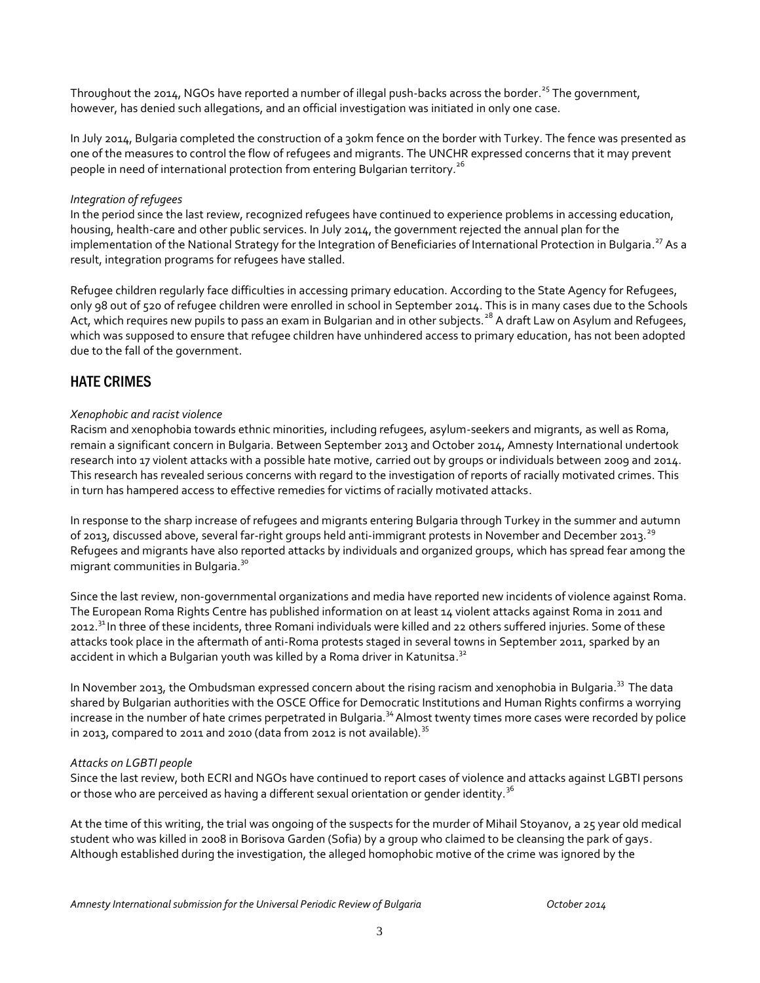Throughout the 2014, NGOs have reported a number of illegal push-backs across the border.<sup>25</sup> The government, however, has denied such allegations, and an official investigation was initiated in only one case.

In July 2014, Bulgaria completed the construction of a 30km fence on the border with Turkey. The fence was presented as one of the measures to control the flow of refugees and migrants. The UNCHR expressed concerns that it may prevent people in need of international protection from entering Bulgarian territory.<sup>26</sup>

#### *Integration of refugees*

In the period since the last review, recognized refugees have continued to experience problems in accessing education, housing, health-care and other public services. In July 2014, the government rejected the annual plan for the implementation of the National Strategy for the Integration of Beneficiaries of International Protection in Bulgaria.<sup>27</sup> As a result, integration programs for refugees have stalled.

Refugee children regularly face difficulties in accessing primary education. According to the State Agency for Refugees, only 98 out of 520 of refugee children were enrolled in school in September 2014. This is in many cases due to the Schools Act, which requires new pupils to pass an exam in Bulgarian and in other subjects.<sup>28</sup> A draft Law on Asylum and Refugees, which was supposed to ensure that refugee children have unhindered access to primary education, has not been adopted due to the fall of the government.

## HATE CRIMES

### *Xenophobic and racist violence*

Racism and xenophobia towards ethnic minorities, including refugees, asylum-seekers and migrants, as well as Roma, remain a significant concern in Bulgaria. Between September 2013 and October 2014, Amnesty International undertook research into 17 violent attacks with a possible hate motive, carried out by groups or individuals between 2009 and 2014. This research has revealed serious concerns with regard to the investigation of reports of racially motivated crimes. This in turn has hampered access to effective remedies for victims of racially motivated attacks.

In response to the sharp increase of refugees and migrants entering Bulgaria through Turkey in the summer and autumn of 2013, discussed above, several far-right groups held anti-immigrant protests in November and December 2013.<sup>29</sup> Refugees and migrants have also reported attacks by individuals and organized groups, which has spread fear among the migrant communities in Bulgaria.<sup>30</sup>

Since the last review, non-governmental organizations and media have reported new incidents of violence against Roma. The European Roma Rights Centre has published information on at least 14 violent attacks against Roma in 2011 and 2012.<sup>31</sup> In three of these incidents, three Romani individuals were killed and 22 others suffered injuries. Some of these attacks took place in the aftermath of anti-Roma protests staged in several towns in September 2011, sparked by an accident in which a Bulgarian youth was killed by a Roma driver in Katunitsa. $^{\text{32}}$ 

In November 2013, the Ombudsman expressed concern about the rising racism and xenophobia in Bulgaria.<sup>33</sup> The data shared by Bulgarian authorities with the OSCE Office for Democratic Institutions and Human Rights confirms a worrying increase in the number of hate crimes perpetrated in Bulgaria.<sup>34</sup> Almost twenty times more cases were recorded by police in 2013, compared to 2011 and 2010 (data from 2012 is not available).  $35$ 

#### *Attacks on LGBTI people*

Since the last review, both ECRI and NGOs have continued to report cases of violence and attacks against LGBTI persons or those who are perceived as having a different sexual orientation or gender identity.<sup>36</sup>

At the time of this writing, the trial was ongoing of the suspects for the murder of Mihail Stoyanov, a 25 year old medical student who was killed in 2008 in Borisova Garden (Sofia) by a group who claimed to be cleansing the park of gays. Although established during the investigation, the alleged homophobic motive of the crime was ignored by the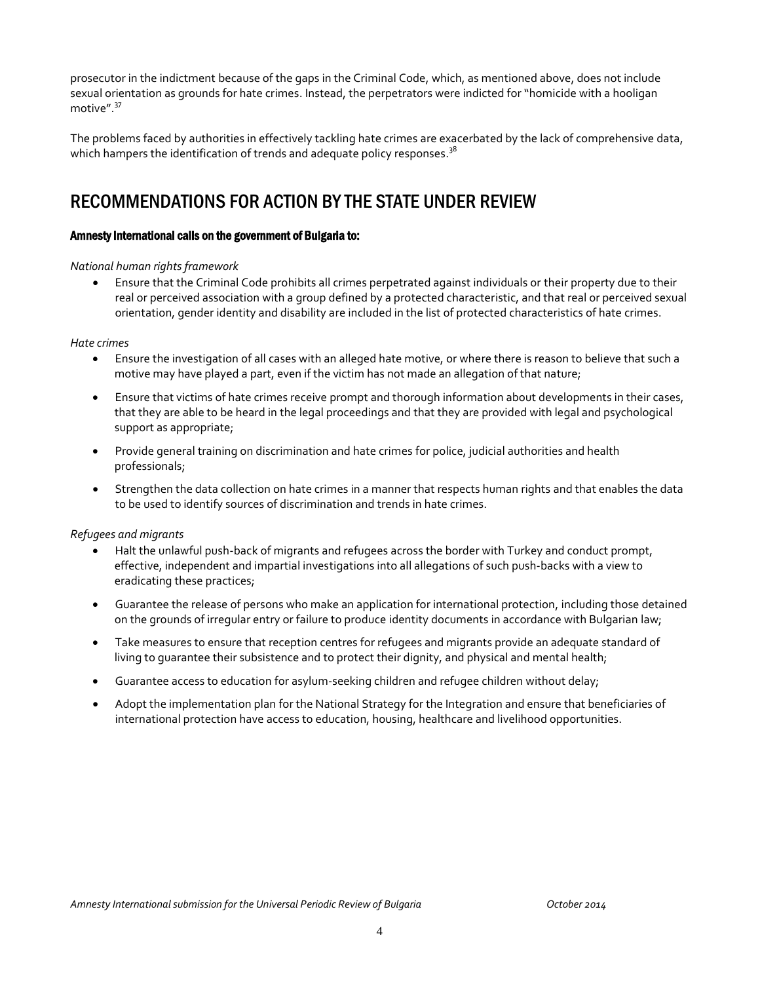prosecutor in the indictment because of the gaps in the Criminal Code, which, as mentioned above, does not include sexual orientation as grounds for hate crimes. Instead, the perpetrators were indicted for "homicide with a hooligan motive".<sup>37</sup>

The problems faced by authorities in effectively tackling hate crimes are exacerbated by the lack of comprehensive data, which hampers the identification of trends and adequate policy responses.  $^{38}$ 

# RECOMMENDATIONS FOR ACTION BY THE STATE UNDER REVIEW

### Amnesty International calls on the government of Bulgaria to:

### *National human rights framework*

 Ensure that the Criminal Code prohibits all crimes perpetrated against individuals or their property due to their real or perceived association with a group defined by a protected characteristic, and that real or perceived sexual orientation, gender identity and disability are included in the list of protected characteristics of hate crimes.

#### *Hate crimes*

- Ensure the investigation of all cases with an alleged hate motive, or where there is reason to believe that such a motive may have played a part, even if the victim has not made an allegation of that nature;
- Ensure that victims of hate crimes receive prompt and thorough information about developments in their cases, that they are able to be heard in the legal proceedings and that they are provided with legal and psychological support as appropriate;
- Provide general training on discrimination and hate crimes for police, judicial authorities and health professionals;
- Strengthen the data collection on hate crimes in a manner that respects human rights and that enables the data to be used to identify sources of discrimination and trends in hate crimes.

## *Refugees and migrants*

- Halt the unlawful push-back of migrants and refugees across the border with Turkey and conduct prompt, effective, independent and impartial investigations into all allegations of such push-backs with a view to eradicating these practices;
- Guarantee the release of persons who make an application for international protection, including those detained on the grounds of irregular entry or failure to produce identity documents in accordance with Bulgarian law;
- Take measures to ensure that reception centres for refugees and migrants provide an adequate standard of living to guarantee their subsistence and to protect their dignity, and physical and mental health;
- Guarantee access to education for asylum-seeking children and refugee children without delay;
- Adopt the implementation plan for the National Strategy for the Integration and ensure that beneficiaries of international protection have access to education, housing, healthcare and livelihood opportunities.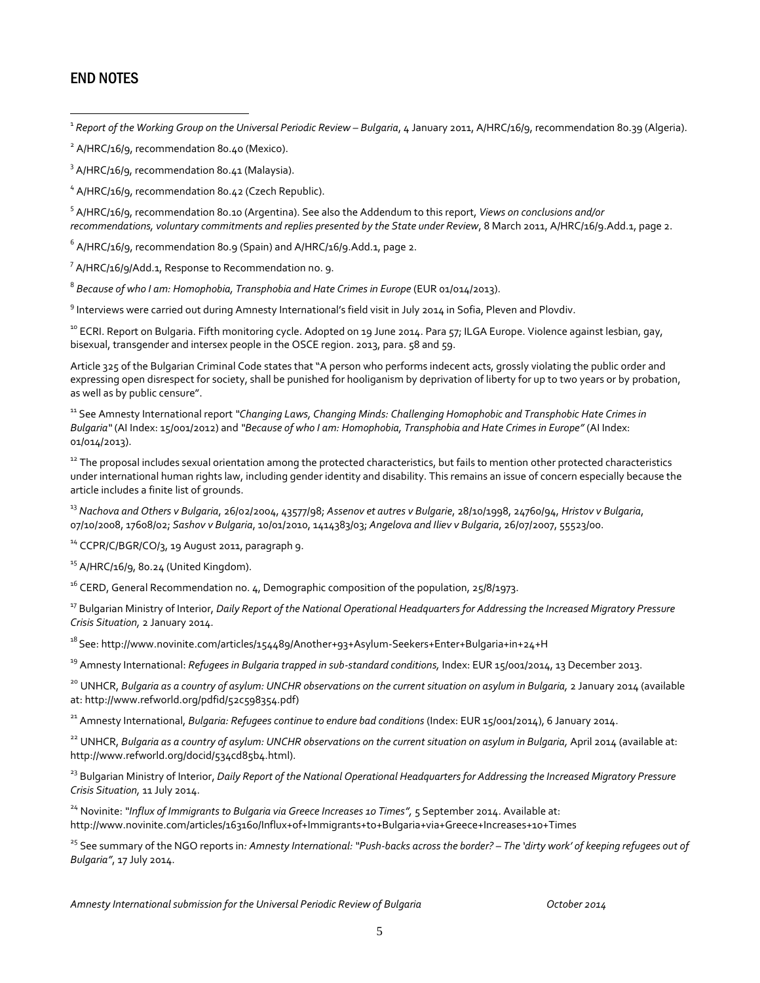## END NOTES

 $\overline{a}$ 

<sup>1</sup> Report of the Working Group on the Universal Periodic Review – Bulgaria, 4 January 2011, A/HRC/16/9, recommendation 80.39 (Algeria).

<sup>2</sup> A/HRC/16/9, recommendation 80.40 (Mexico).

<sup>3</sup> A/HRC/16/9, recommendation 80.41 (Malaysia).

<sup>4</sup> A/HRC/16/9, recommendation 80.42 (Czech Republic).

5 A/HRC/16/9, recommendation 80.10 (Argentina). See also the Addendum to this report, *Views on conclusions and/or recommendations, voluntary commitments and replies presented by the State under Review*, 8 March 2011, A/HRC/16/9.Add.1, page 2.

 $^6$  A/HRC/16/9, recommendation 80.9 (Spain) and A/HRC/16/9.Add.1, page 2.

<sup>7</sup> A/HRC/16/9/Add.1, Response to Recommendation no. 9.

8 *Because of who I am: Homophobia, Transphobia and Hate Crimes in Europe* (EUR 01/014/2013).

<sup>9</sup> Interviews were carried out during Amnesty International's field visit in July 2014 in Sofia, Pleven and Plovdiv.

<sup>10</sup> ECRI. Report on Bulgaria. Fifth monitoring cycle. Adopted on 19 June 2014. Para 57; ILGA Europe. Violence against lesbian, gay, bisexual, transgender and intersex people in the OSCE region. 2013, para. 58 and 59.

Article 325 of the Bulgarian Criminal Code states that "A person who performs indecent acts, grossly violating the public order and expressing open disrespect for society, shall be punished for hooliganism by deprivation of liberty for up to two years or by probation, as well as by public censure".

<sup>11</sup> See Amnesty International report *"Changing Laws, Changing Minds: Challenging Homophobic and Transphobic Hate Crimes in Bulgaria"* (AI Index: 15/001/2012) and *"Because of who I am: Homophobia, Transphobia and Hate Crimes in Europe"* (AI Index: 01/014/2013).

<sup>12</sup> The proposal includes sexual orientation among the protected characteristics, but fails to mention other protected characteristics under international human rights law, including gender identity and disability. This remains an issue of concern especially because the article includes a finite list of grounds.

<sup>13</sup> *Nachova and Others v Bulgaria*, 26/02/2004, 43577/98; *Assenov et autres v Bulgarie*, 28/10/1998, 24760/94, *Hristov v Bulgaria*, 07/10/2008, 17608/02; *Sashov v Bulgaria*, 10/01/2010, 1414383/03; *Angelova and Iliev v Bulgaria*, 26/07/2007, 55523/00.

<sup>14</sup> CCPR/C/BGR/CO/3, 19 August 2011, paragraph 9.

 $15$  A/HRC/16/9, 80.24 (United Kingdom).

 $16$  CERD, General Recommendation no. 4, Demographic composition of the population, 25/8/1973.

<sup>17</sup> Bulgarian Ministry of Interior, *Daily Report of the National Operational Headquarters for Addressing the Increased Migratory Pressure Crisis Situation,* 2 January 2014.

<sup>18</sup> See:<http://www.novinite.com/articles/154489/Another+93+Asylum-Seekers+Enter+Bulgaria+in+24+H>

<sup>19</sup> Amnesty International: *Refugees in Bulgaria trapped in sub-standard conditions*, Index: EUR 15/001/2014, 13 December 2013.

<sup>20</sup> UNHCR, *Bulgaria as a country of asylum: UNCHR observations on the current situation on asylum in Bulgaria, 2 January 2014 (available* at[: http://www.refworld.org/pdfid/52c598354.pdf\)](http://www.refworld.org/pdfid/52c598354.pdf)

<sup>21</sup> Amnesty International, *Bulgaria: Refugees continue to endure bad conditions* (Index: EUR 15/001/2014), 6 January 2014.

<sup>22</sup> UNHCR, *Bulgaria as a country of asylum: UNCHR observations on the current situation on asylum in Bulgaria, April 2014 (available at:* [http://www.refworld.org/docid/534cd85b4.html\)](http://www.refworld.org/docid/534cd85b4.html).

<sup>23</sup> Bulgarian Ministry of Interior, *Daily Report of the National Operational Headquarters for Addressing the Increased Migratory Pressure Crisis Situation,* 11 July 2014.

<sup>24</sup> Novinite: *"Influx of Immigrants to Bulgaria via Greece Increases 10 Times",* 5 September 2014. Available at: http://www.novinite.com/articles/163160/Influx+of+Immigrants+to+Bulgaria+via+Greece+Increases+10+Times

<sup>25</sup> See summary of the NGO reports in*: Amnesty International: "Push-backs across the border? – The 'dirty work' of keeping refugees out of Bulgaria"*, 17 July 2014.

*Amnesty International submission for the Universal Periodic Review of Bulgaria October 2014*